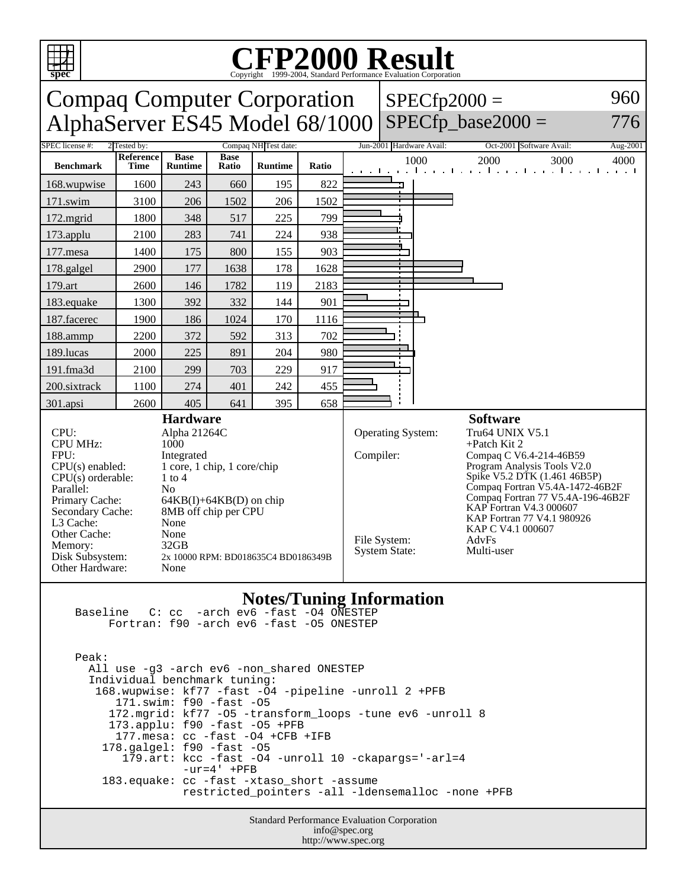

## **Notes/Tuning Information**

 Baseline C: cc -arch ev6 -fast -O4 ONESTEP Fortran: f90 -arch ev6 -fast -O5 ONESTEP

 Peak: All use -g3 -arch ev6 -non\_shared ONESTEP Individual benchmark tuning: 168.wupwise: kf77 -fast -O4 -pipeline -unroll 2 +PFB 171.swim: f90 -fast -O5 172.mgrid: kf77 -O5 -transform\_loops -tune ev6 -unroll 8 173.applu: f90 -fast -O5 +PFB 177.mesa: cc -fast -O4 +CFB +IFB 178.galgel: f90 -fast -O5 179.art: kcc -fast -O4 -unroll 10 -ckapargs='-arl=4  $-ur=4'$  +PFB 183.equake: cc -fast -xtaso\_short -assume restricted\_pointers -all -ldensemalloc -none +PFB

> Standard Performance Evaluation Corporation info@spec.org http://www.spec.org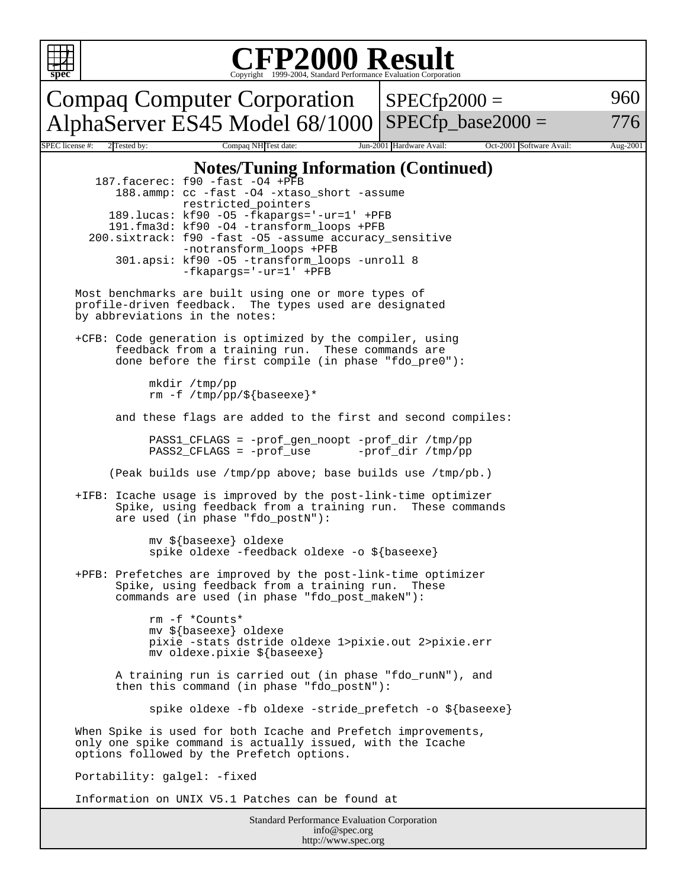

## Copyright ©1999-2004, Standard Performance Evaluation Corporation

Compaq Computer Corporation AlphaServer ES45 Model 68/1000  $SPECfp2000 =$ SPECfp base2000  $=$ 960 776 Compaq NH Test date: Jun-2001 Hardware Avail: Oct-2001 Software Avail: Aug-2001 **Notes/Tuning Information (Continued)** 187.facerec: f90 -fast -O4 +PFB 188.ammp: cc -fast -O4 -xtaso\_short -assume restricted\_pointers 189.lucas: kf90 -O5 -fkapargs='-ur=1' +PFB 191.fma3d: kf90 -O4 -transform\_loops +PFB 200.sixtrack: f90 -fast -O5 -assume accuracy\_sensitive -notransform\_loops +PFB 301.apsi: kf90 -O5 -transform\_loops -unroll 8 -fkapargs='-ur=1' +PFB Most benchmarks are built using one or more types of profile-driven feedback. The types used are designated by abbreviations in the notes: +CFB: Code generation is optimized by the compiler, using feedback from a training run. These commands are done before the first compile (in phase "fdo\_pre0"): mkdir /tmp/pp rm -f /tmp/pp/\${baseexe}\* and these flags are added to the first and second compiles: PASS1\_CFLAGS = -prof\_gen\_noopt -prof\_dir /tmp/pp PASS2\_CFLAGS = -prof\_use -prof\_dir /tmp/pp (Peak builds use /tmp/pp above; base builds use /tmp/pb.) +IFB: Icache usage is improved by the post-link-time optimizer Spike, using feedback from a training run. These commands are used (in phase "fdo\_postN"): mv \${baseexe} oldexe spike oldexe -feedback oldexe -o \${baseexe} +PFB: Prefetches are improved by the post-link-time optimizer Spike, using feedback from a training run. These commands are used (in phase "fdo\_post\_makeN"): rm -f \*Counts\* mv \${baseexe} oldexe pixie -stats dstride oldexe 1>pixie.out 2>pixie.err mv oldexe.pixie \${baseexe} A training run is carried out (in phase "fdo\_runN"), and then this command (in phase "fdo\_postN"): spike oldexe -fb oldexe -stride\_prefetch -o \${baseexe} When Spike is used for both Icache and Prefetch improvements, only one spike command is actually issued, with the Icache options followed by the Prefetch options. Portability: galgel: -fixed Information on UNIX V5.1 Patches can be found at

Standard Performance Evaluation Corporation info@spec.org http://www.spec.org